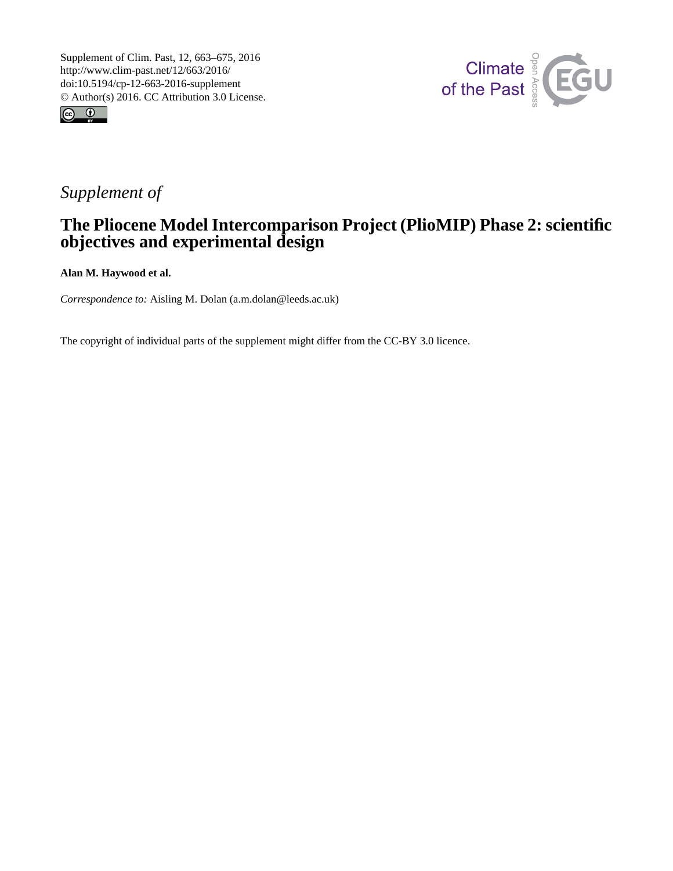



# *Supplement of*

# **The Pliocene Model Intercomparison Project (PlioMIP) Phase 2: scientific objectives and experimental design**

**Alan M. Haywood et al.**

*Correspondence to:* Aisling M. Dolan (a.m.dolan@leeds.ac.uk)

The copyright of individual parts of the supplement might differ from the CC-BY 3.0 licence.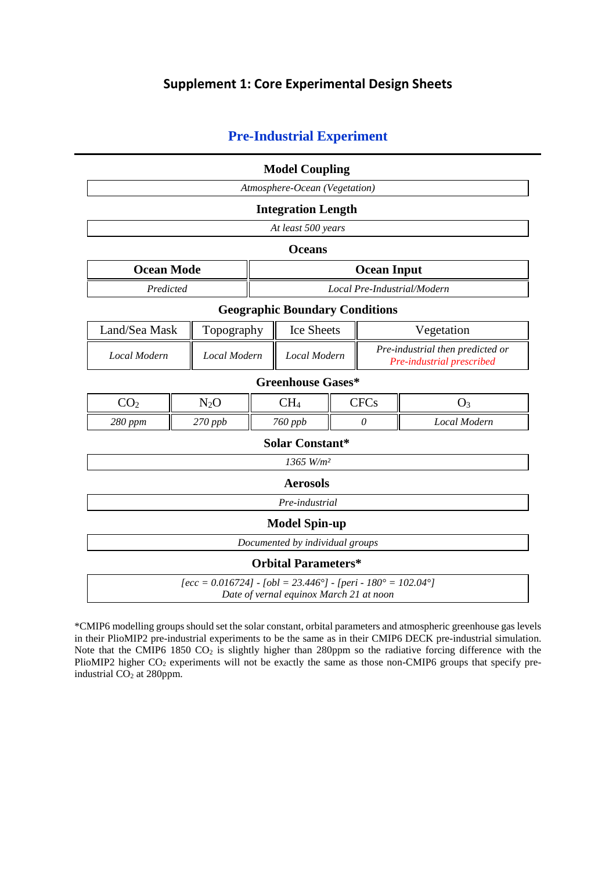# **Supplement 1: Core Experimental Design Sheets**

# **Pre-Industrial Experiment**

### **Model Coupling**

*Atmosphere-Ocean (Vegetation)*

### **Integration Length**

*At least 500 years*

#### **Oceans**

| <b>Ocean Mode</b> | <b>Ocean Input</b>          |  |
|-------------------|-----------------------------|--|
| Predicted         | Local Pre-Industrial/Modern |  |

#### **Geographic Boundary Conditions**

| Land/Sea Mask | Topography   | Ice Sheets<br>Vegetation |                                                                      |
|---------------|--------------|--------------------------|----------------------------------------------------------------------|
| Local Modern  | Local Modern | Local Modern             | Pre-industrial then predicted or<br><b>Pre-industrial prescribed</b> |

### **Greenhouse Gases\***

| $\cap$<br>◡◡∠ | 'N2V.                  | $\cap$ ti<br>−<br>$\cup$ 14 | $\cap$ $\Gamma$ $\cap$<br>UI UD |              |
|---------------|------------------------|-----------------------------|---------------------------------|--------------|
| 280 ppm       | 270<br>$\angle 70$ ppb | $760$ ppb                   |                                 | Local Modern |

### **Solar Constant\***

|  | 365 W/m <sup>2</sup> |  |
|--|----------------------|--|

**Aerosols**

*Pre-industrial*

#### **Model Spin-up**

*Documented by individual groups*

#### **Orbital Parameters\***

*[ecc = 0.016724] - [obl = 23.446°] - [peri - 180° = 102.04°] Date of vernal equinox March 21 at noon*

\*CMIP6 modelling groups should set the solar constant, orbital parameters and atmospheric greenhouse gas levels in their PlioMIP2 pre-industrial experiments to be the same as in their CMIP6 DECK pre-industrial simulation. Note that the CMIP6 1850  $CO<sub>2</sub>$  is slightly higher than 280ppm so the radiative forcing difference with the PlioMIP2 higher  $CO_2$  experiments will not be exactly the same as those non-CMIP6 groups that specify preindustrial  $CO<sub>2</sub>$  at 280ppm.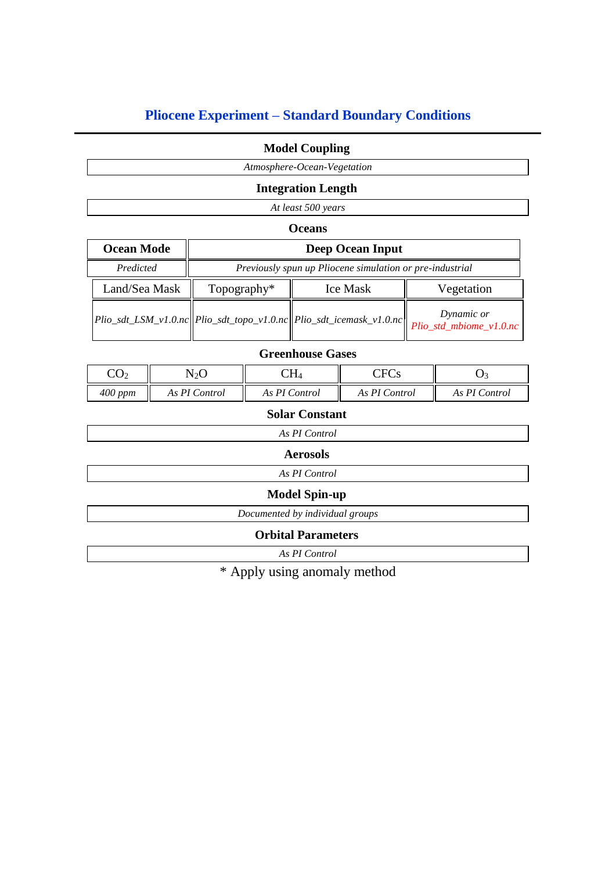# **Pliocene Experiment – Standard Boundary Conditions**

## **Model Coupling**

*Atmosphere-Ocean-Vegetation*

### **Integration Length**

*At least 500 years*

**Oceans**

| <b>Ocean Mode</b> | Deep Ocean Input                                         |  |                                                                                                                                                                                                                                                                                                                                                                                                                  |
|-------------------|----------------------------------------------------------|--|------------------------------------------------------------------------------------------------------------------------------------------------------------------------------------------------------------------------------------------------------------------------------------------------------------------------------------------------------------------------------------------------------------------|
| Predicted         | Previously spun up Pliocene simulation or pre-industrial |  |                                                                                                                                                                                                                                                                                                                                                                                                                  |
| Land/Sea Mask     | Topography*<br>Ice Mask                                  |  | Vegetation                                                                                                                                                                                                                                                                                                                                                                                                       |
|                   |                                                          |  | $\label{eq:1} \begin{array}{ l c c c c c c c} \hline \textit{Plio\_sdt\_LSM\_v1.0}.\textit{nc} & \hline \textit{Plio\_sdt\_topo\_v1.0}.\textit{nc} & \hline \textit{Plio\_std\_mbiome\_v1.0}.\textit{nc} & \hline \textit{Plio\_std\_mbiome\_v1.0}.\textit{nc} & \hline \textit{Plio\_std\_mbiome\_v1.0}.\textit{nc} & \hline \textit{Plio\_std\_mbiome\_v1.0}.\textit{nc} & \hline \textit{Plio\_std\_mbiome\_$ |

## **Greenhouse Gases**

| CO <sub>2</sub> | $\rm V_2C$    | $\rm CH_4$    | $\cap$ F $\cap$ |               |
|-----------------|---------------|---------------|-----------------|---------------|
| $400$ ppm       | As PI Control | As PI Control | As PI Control   | As PI Control |

## **Solar Constant**

*As PI Control*

**Aerosols**

*As PI Control*

# **Model Spin-up**

*Documented by individual groups*

### **Orbital Parameters**

*As PI Control*

\* Apply using anomaly method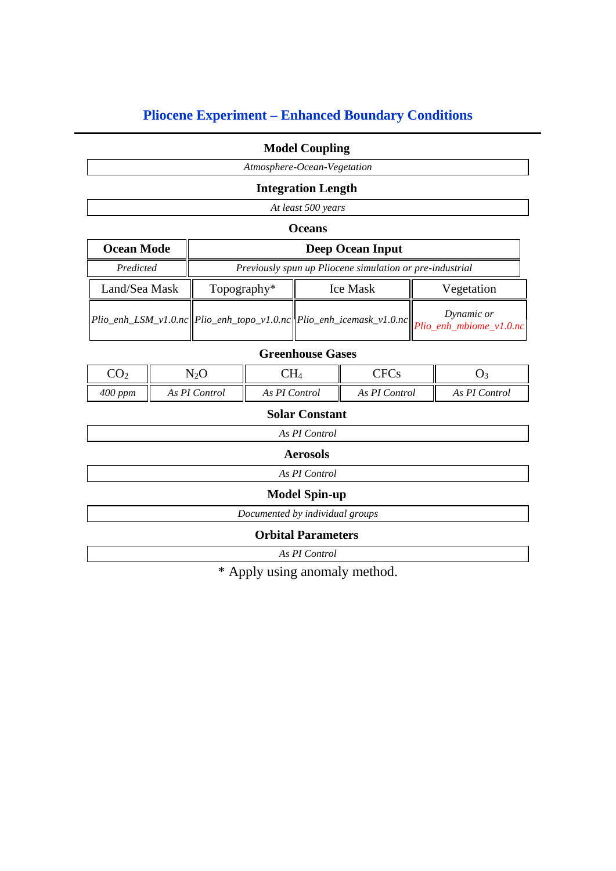# **Pliocene Experiment – Enhanced Boundary Conditions**

# **Model Coupling**

*Atmosphere-Ocean-Vegetation*

### **Integration Length**

*At least 500 years*

**Oceans**

| <b>Ocean Mode</b> | Deep Ocean Input                                         |                                                                                                                                                               |            |
|-------------------|----------------------------------------------------------|---------------------------------------------------------------------------------------------------------------------------------------------------------------|------------|
| Predicted         | Previously spun up Pliocene simulation or pre-industrial |                                                                                                                                                               |            |
| Land/Sea Mask     | Topography*<br><b>Ice Mask</b>                           |                                                                                                                                                               | Vegetation |
|                   |                                                          | $\lvert Plio\_enh\_LSM_v1.0.nc \rvert \lvert Plio\_enh\_topo_v1.0.nc \rvert \lvert Plio\_enh\_icemask_v1.0.nc \rvert \lvert Plio\_enh\_mbiome_v1.0.nc \rvert$ |            |

## **Greenhouse Gases**

| $\lnot$<br>$\mathrm{U} \mathrm{O}_2$ | N2C           | $\Box$ H4     | $\mathop{{}^\sim}{\rm FC}$ |               |
|--------------------------------------|---------------|---------------|----------------------------|---------------|
| $400$ ppm                            | As PI Control | As PI Control | As PI Control              | As PI Control |

## **Solar Constant**

| As PI Control        |
|----------------------|
| <b>Aerosols</b>      |
| As PI Control        |
| <b>Model Spin-up</b> |

*Documented by individual groups*

### **Orbital Parameters**

*As PI Control*

\* Apply using anomaly method.